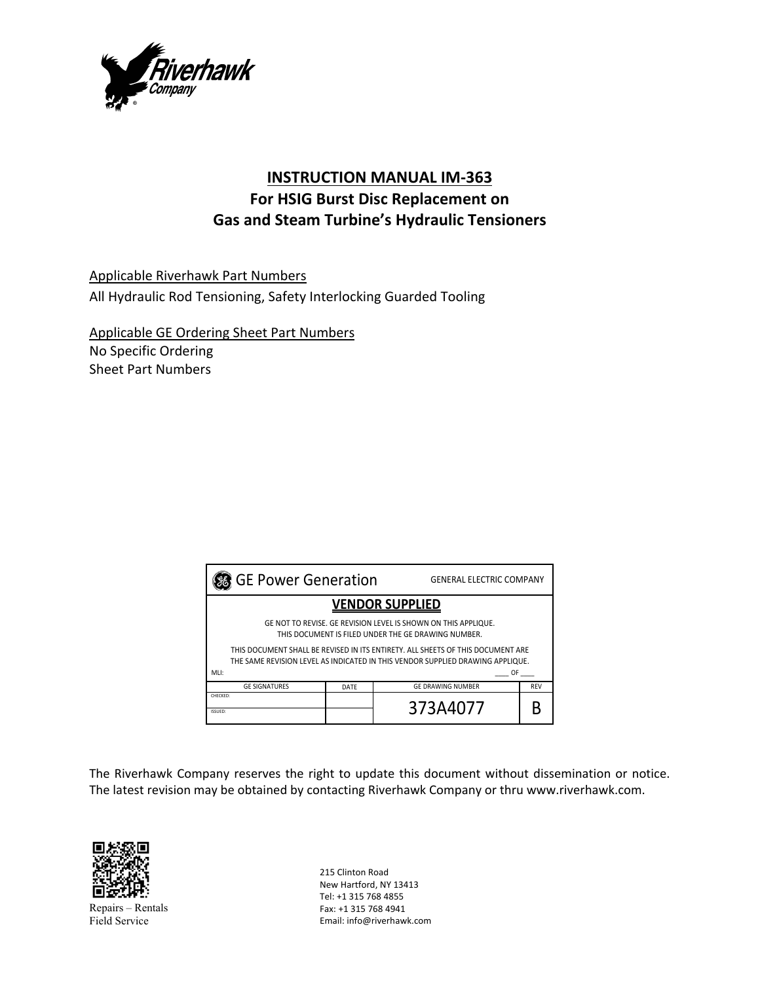

# **INSTRUCTION MANUAL IM‐363 For HSIG Burst Disc Replacement on Gas and Steam Turbine's Hydraulic Tensioners**

Applicable Riverhawk Part Numbers All Hydraulic Rod Tensioning, Safety Interlocking Guarded Tooling

Applicable GE Ordering Sheet Part Numbers No Specific Ordering Sheet Part Numbers

| <b>S</b> GE Power Generation                                                                                                                                                                             |      | <b>GENERAL ELECTRIC COMPANY</b> |            |  |
|----------------------------------------------------------------------------------------------------------------------------------------------------------------------------------------------------------|------|---------------------------------|------------|--|
| <b>VENDOR SUPPLIED</b>                                                                                                                                                                                   |      |                                 |            |  |
| GE NOT TO REVISE. GE REVISION LEVEL IS SHOWN ON THIS APPLIQUE.<br>THIS DOCUMENT IS FILED UNDER THE GE DRAWING NUMBER.<br>THIS DOCUMENT SHALL BE REVISED IN ITS ENTIRETY. ALL SHEETS OF THIS DOCUMENT ARE |      |                                 |            |  |
| THE SAME REVISION LEVEL AS INDICATED IN THIS VENDOR SUPPLIED DRAWING APPLIQUE.<br>MLI:<br>0F                                                                                                             |      |                                 |            |  |
| <b>GE SIGNATURES</b>                                                                                                                                                                                     | DATE | <b>GE DRAWING NUMBER</b>        | <b>REV</b> |  |
| CHECKED:<br>ISSUED:                                                                                                                                                                                      |      | 373A4077                        |            |  |

The Riverhawk Company reserves the right to update this document without dissemination or notice. The latest revision may be obtained by contacting Riverhawk Company or thru www.riverhawk.com.



Repairs – Rentals Field Service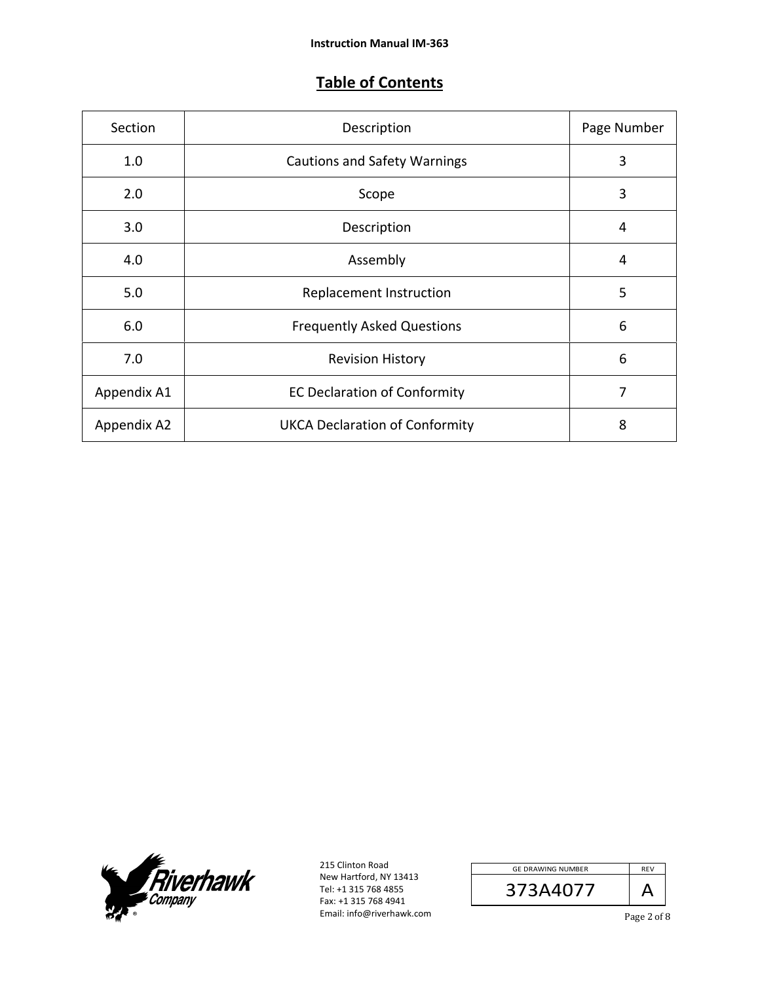## **Table of Contents**

| Section     | Description                           | Page Number |
|-------------|---------------------------------------|-------------|
| 1.0         | <b>Cautions and Safety Warnings</b>   | 3           |
| 2.0         | Scope                                 | 3           |
| 3.0         | Description                           | 4           |
| 4.0         | Assembly                              | 4           |
| 5.0         | Replacement Instruction               | 5           |
| 6.0         | <b>Frequently Asked Questions</b>     | 6           |
| 7.0         | <b>Revision History</b>               | 6           |
| Appendix A1 | <b>EC Declaration of Conformity</b>   | 7           |
| Appendix A2 | <b>UKCA Declaration of Conformity</b> | 8           |



| <b>GE DRAWING NUMBER</b> | <b>REV</b> |
|--------------------------|------------|
| 373A4077                 |            |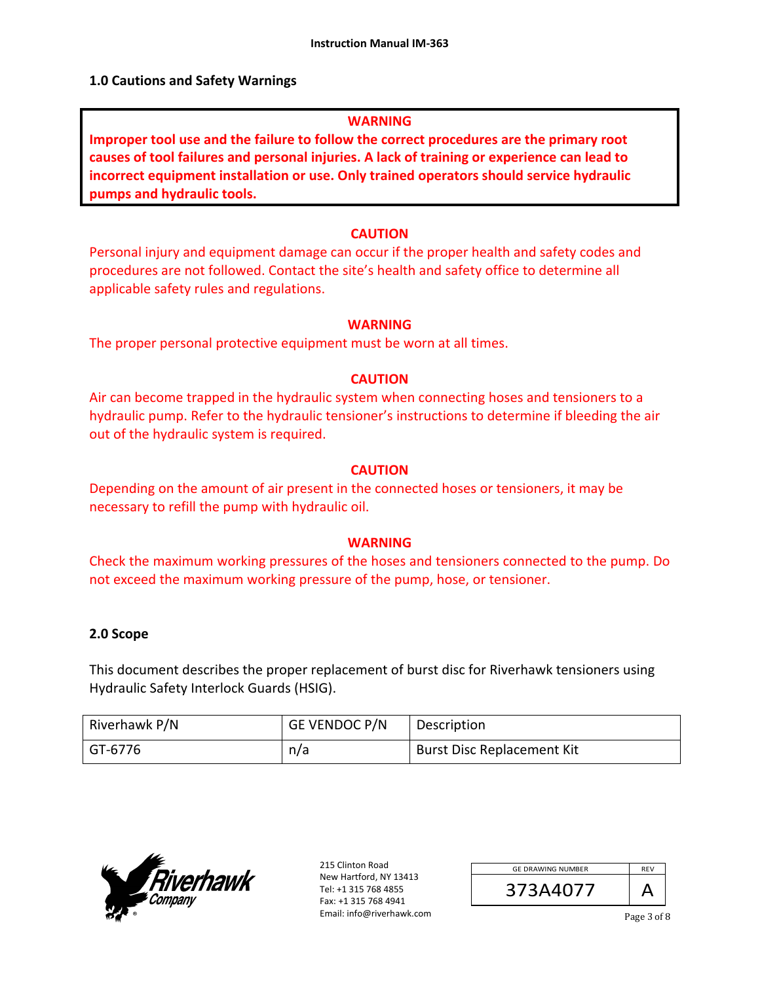#### **1.0 Cautions and Safety Warnings**

#### **WARNING**

**Improper tool use and the failure to follow the correct procedures are the primary root causes of tool failures and personal injuries. A lack of training or experience can lead to incorrect equipment installation or use. Only trained operators should service hydraulic pumps and hydraulic tools.** 

#### **CAUTION**

Personal injury and equipment damage can occur if the proper health and safety codes and procedures are not followed. Contact the site's health and safety office to determine all applicable safety rules and regulations.

#### **WARNING**

The proper personal protective equipment must be worn at all times.

#### **CAUTION**

Air can become trapped in the hydraulic system when connecting hoses and tensioners to a hydraulic pump. Refer to the hydraulic tensioner's instructions to determine if bleeding the air out of the hydraulic system is required.

#### **CAUTION**

Depending on the amount of air present in the connected hoses or tensioners, it may be necessary to refill the pump with hydraulic oil.

#### **WARNING**

Check the maximum working pressures of the hoses and tensioners connected to the pump. Do not exceed the maximum working pressure of the pump, hose, or tensioner.

#### **2.0 Scope**

This document describes the proper replacement of burst disc for Riverhawk tensioners using Hydraulic Safety Interlock Guards (HSIG).

| Riverhawk P/N | GE VENDOC P/N | Description                       |
|---------------|---------------|-----------------------------------|
| ' GT-6776     | n/a           | <b>Burst Disc Replacement Kit</b> |



| <b>GE DRAWING NUMBER</b> | <b>RFV</b> |
|--------------------------|------------|
| 373A4077                 |            |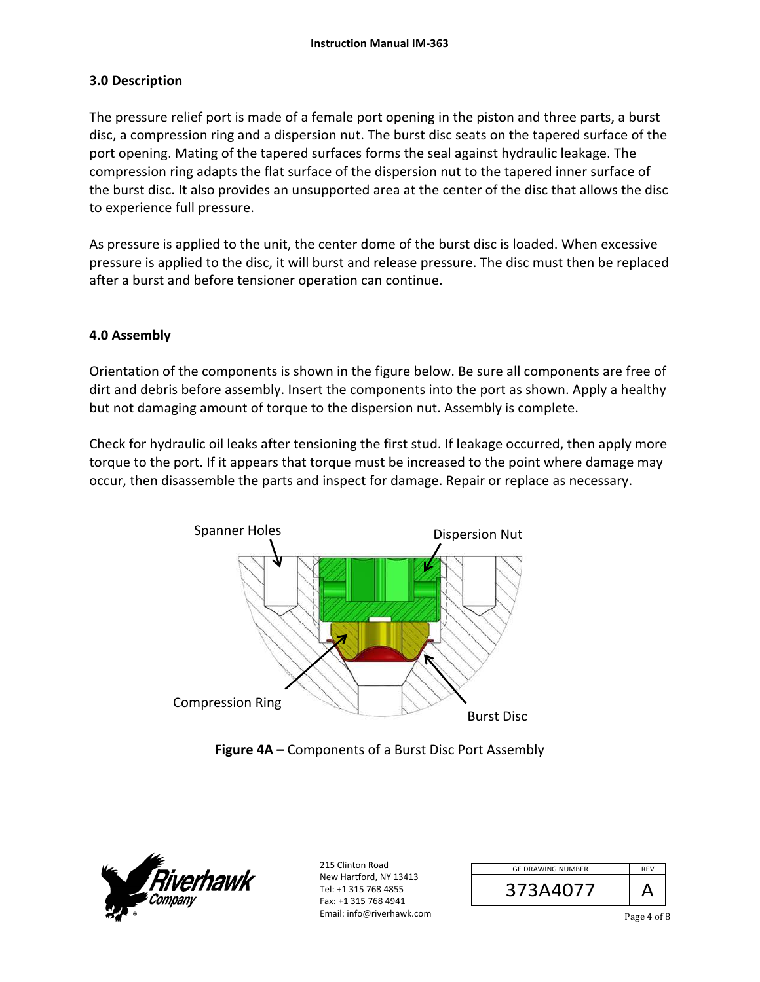### **3.0 Description**

The pressure relief port is made of a female port opening in the piston and three parts, a burst disc, a compression ring and a dispersion nut. The burst disc seats on the tapered surface of the port opening. Mating of the tapered surfaces forms the seal against hydraulic leakage. The compression ring adapts the flat surface of the dispersion nut to the tapered inner surface of the burst disc. It also provides an unsupported area at the center of the disc that allows the disc to experience full pressure.

As pressure is applied to the unit, the center dome of the burst disc is loaded. When excessive pressure is applied to the disc, it will burst and release pressure. The disc must then be replaced after a burst and before tensioner operation can continue.

### **4.0 Assembly**

Orientation of the components is shown in the figure below. Be sure all components are free of dirt and debris before assembly. Insert the components into the port as shown. Apply a healthy but not damaging amount of torque to the dispersion nut. Assembly is complete.

Check for hydraulic oil leaks after tensioning the first stud. If leakage occurred, then apply more torque to the port. If it appears that torque must be increased to the point where damage may occur, then disassemble the parts and inspect for damage. Repair or replace as necessary.



**Figure 4A –** Components of a Burst Disc Port Assembly



| <b>GE DRAWING NUMBER</b> | <b>RFV</b> |
|--------------------------|------------|
| 373A4077                 |            |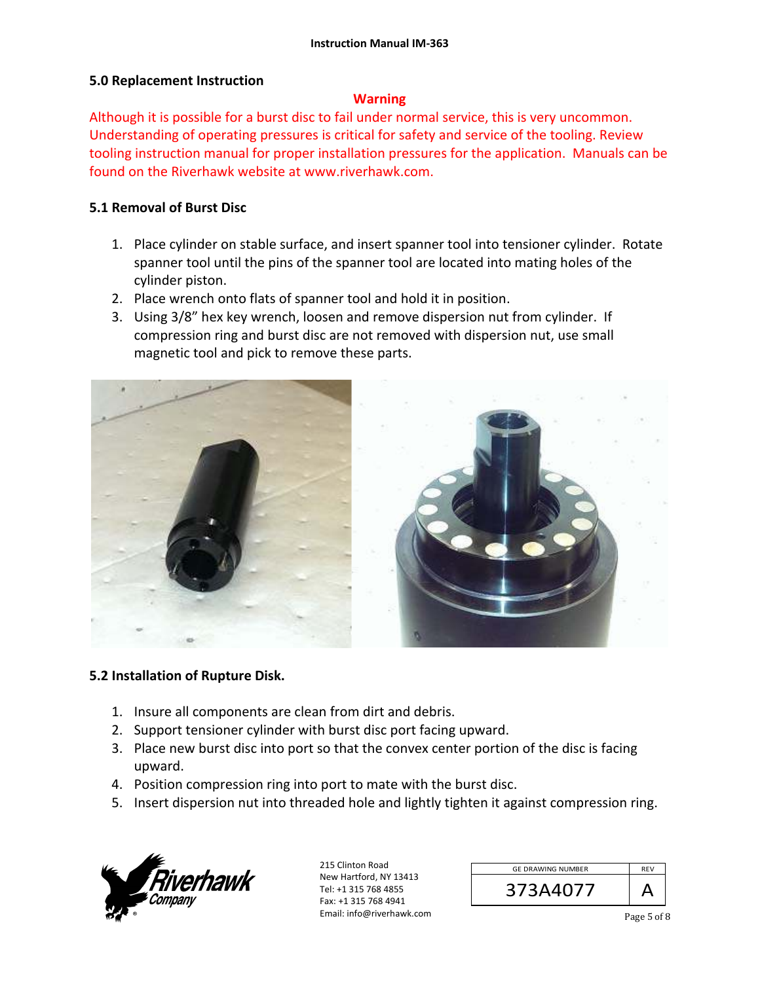#### **5.0 Replacement Instruction**

#### **Warning**

Although it is possible for a burst disc to fail under normal service, this is very uncommon. Understanding of operating pressures is critical for safety and service of the tooling. Review tooling instruction manual for proper installation pressures for the application. Manuals can be found on the Riverhawk website at www.riverhawk.com.

#### **5.1 Removal of Burst Disc**

- 1. Place cylinder on stable surface, and insert spanner tool into tensioner cylinder. Rotate spanner tool until the pins of the spanner tool are located into mating holes of the cylinder piston.
- 2. Place wrench onto flats of spanner tool and hold it in position.
- 3. Using 3/8" hex key wrench, loosen and remove dispersion nut from cylinder. If compression ring and burst disc are not removed with dispersion nut, use small magnetic tool and pick to remove these parts.



#### **5.2 Installation of Rupture Disk.**

- 1. Insure all components are clean from dirt and debris.
- 2. Support tensioner cylinder with burst disc port facing upward.
- 3. Place new burst disc into port so that the convex center portion of the disc is facing upward.
- 4. Position compression ring into port to mate with the burst disc.
- 5. Insert dispersion nut into threaded hole and lightly tighten it against compression ring.



| <b>GE DRAWING NUMBER</b> | <b>RFV</b> |
|--------------------------|------------|
| 373A4077                 |            |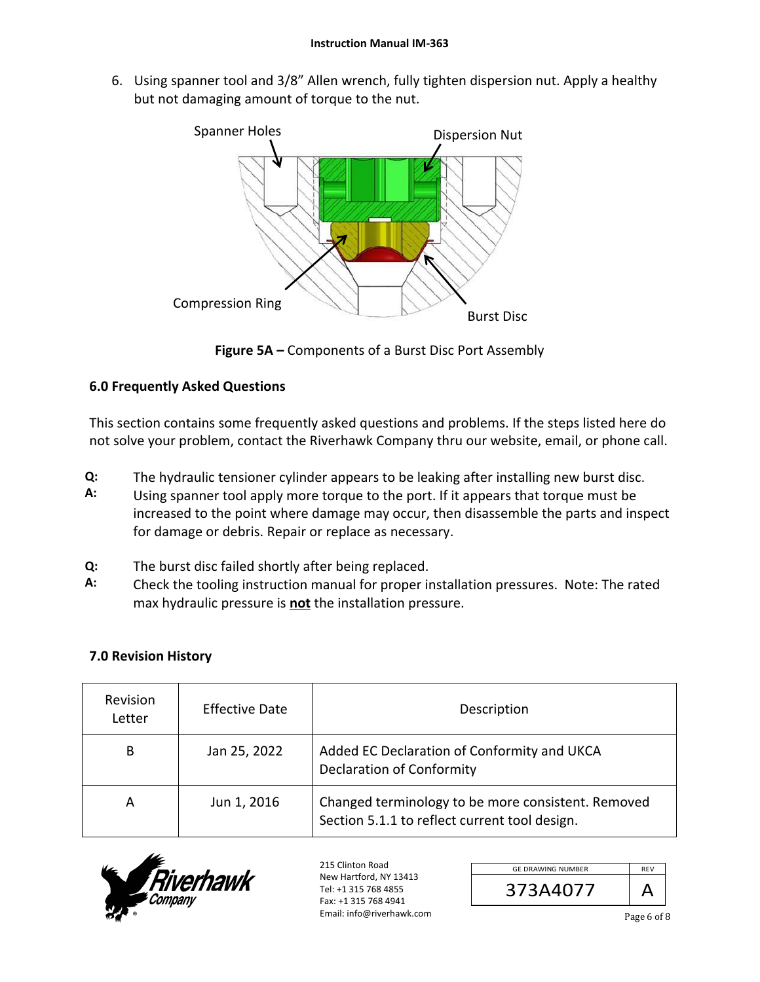6. Using spanner tool and 3/8" Allen wrench, fully tighten dispersion nut. Apply a healthy but not damaging amount of torque to the nut.



**Figure 5A –** Components of a Burst Disc Port Assembly

## **6.0 Frequently Asked Questions**

This section contains some frequently asked questions and problems. If the steps listed here do not solve your problem, contact the Riverhawk Company thru our website, email, or phone call.

- **Q:**  The hydraulic tensioner cylinder appears to be leaking after installing new burst disc.
- **A:**  Using spanner tool apply more torque to the port. If it appears that torque must be increased to the point where damage may occur, then disassemble the parts and inspect for damage or debris. Repair or replace as necessary.
- **Q:**  The burst disc failed shortly after being replaced.
- **A:**  Check the tooling instruction manual for proper installation pressures. Note: The rated max hydraulic pressure is **not** the installation pressure.

## **7.0 Revision History**

| Revision<br>Letter | Effective Date | Description                                                                                         |
|--------------------|----------------|-----------------------------------------------------------------------------------------------------|
| B                  | Jan 25, 2022   | Added EC Declaration of Conformity and UKCA<br><b>Declaration of Conformity</b>                     |
| А                  | Jun 1, 2016    | Changed terminology to be more consistent. Removed<br>Section 5.1.1 to reflect current tool design. |



| <b>GE DRAWING NUMBER</b> |  |
|--------------------------|--|
| ;73A407                  |  |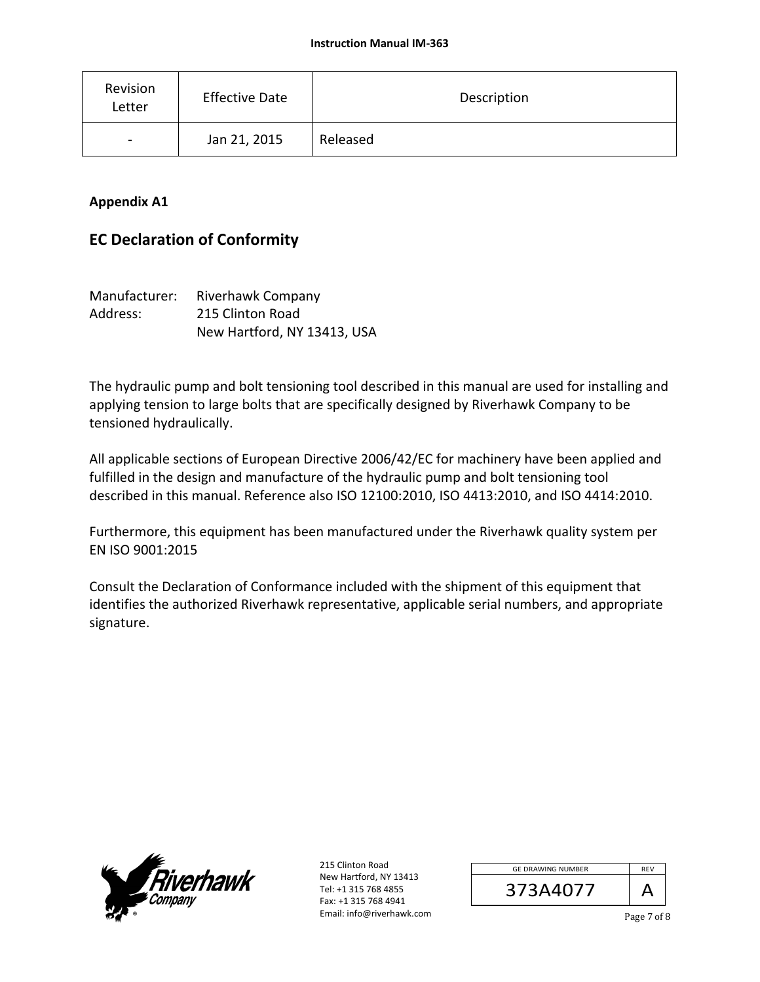| Revision<br>Letter       | <b>Effective Date</b> | Description |
|--------------------------|-----------------------|-------------|
| $\overline{\phantom{a}}$ | Jan 21, 2015          | Released    |

### **Appendix A1**

## **EC Declaration of Conformity**

| Manufacturer: | Riverhawk Company           |
|---------------|-----------------------------|
| Address:      | 215 Clinton Road            |
|               | New Hartford, NY 13413, USA |

The hydraulic pump and bolt tensioning tool described in this manual are used for installing and applying tension to large bolts that are specifically designed by Riverhawk Company to be tensioned hydraulically.

All applicable sections of European Directive 2006/42/EC for machinery have been applied and fulfilled in the design and manufacture of the hydraulic pump and bolt tensioning tool described in this manual. Reference also ISO 12100:2010, ISO 4413:2010, and ISO 4414:2010.

Furthermore, this equipment has been manufactured under the Riverhawk quality system per EN ISO 9001:2015

Consult the Declaration of Conformance included with the shipment of this equipment that identifies the authorized Riverhawk representative, applicable serial numbers, and appropriate signature.



| <b>GE DRAWING NUMBER</b> | <b>RFV</b> |
|--------------------------|------------|
| 373A4077                 |            |